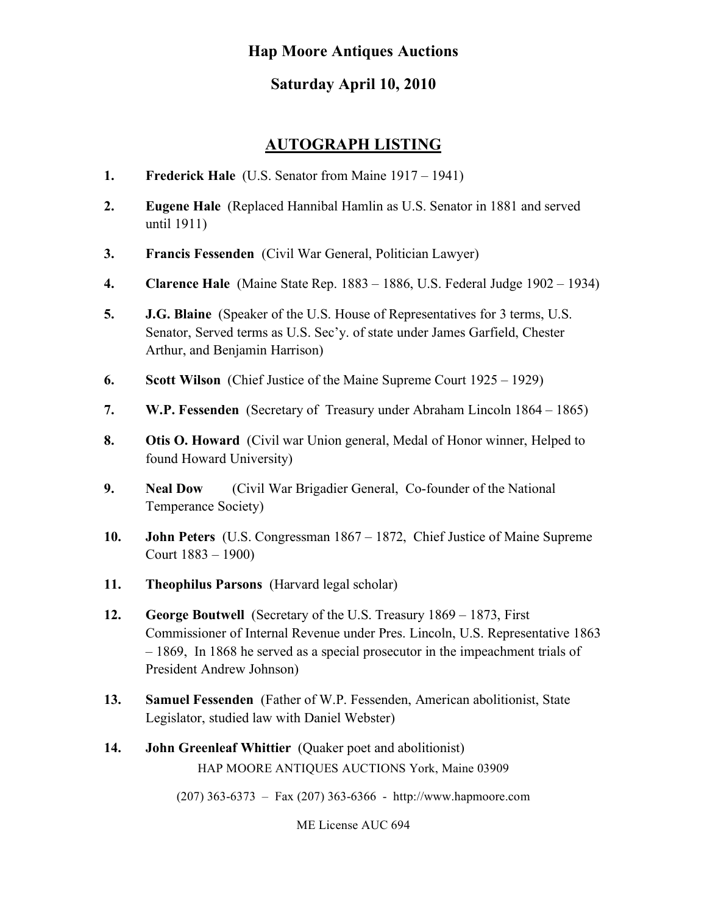# **Hap Moore Antiques Auctions**

# **Saturday April 10, 2010**

## **AUTOGRAPH LISTING**

- **1. Frederick Hale** (U.S. Senator from Maine 1917 1941)
- **2. Eugene Hale** (Replaced Hannibal Hamlin as U.S. Senator in 1881 and served until 1911)
- **3. Francis Fessenden** (Civil War General, Politician Lawyer)
- **4. Clarence Hale** (Maine State Rep. 1883 1886, U.S. Federal Judge 1902 1934)
- **5. J.G. Blaine** (Speaker of the U.S. House of Representatives for 3 terms, U.S. Senator, Served terms as U.S. Sec'y. of state under James Garfield, Chester Arthur, and Benjamin Harrison)
- **6. Scott Wilson** (Chief Justice of the Maine Supreme Court 1925 1929)
- **7. W.P. Fessenden** (Secretary of Treasury under Abraham Lincoln 1864 1865)
- **8. Otis O. Howard** (Civil war Union general, Medal of Honor winner, Helped to found Howard University)
- **9. Neal Dow** (Civil War Brigadier General, Co-founder of the National Temperance Society)
- **10. John Peters** (U.S. Congressman 1867 1872, Chief Justice of Maine Supreme Court 1883 – 1900)
- **11. Theophilus Parsons** (Harvard legal scholar)
- **12. George Boutwell** (Secretary of the U.S. Treasury 1869 1873, First Commissioner of Internal Revenue under Pres. Lincoln, U.S. Representative 1863 – 1869, In 1868 he served as a special prosecutor in the impeachment trials of President Andrew Johnson)
- **13. Samuel Fessenden** (Father of W.P. Fessenden, American abolitionist, State Legislator, studied law with Daniel Webster)
- HAP MOORE ANTIQUES AUCTIONS York, Maine 03909 **14. John Greenleaf Whittier** (Quaker poet and abolitionist)

(207) 363-6373 – Fax (207) 363-6366 - http://www.hapmoore.com

ME License AUC 694